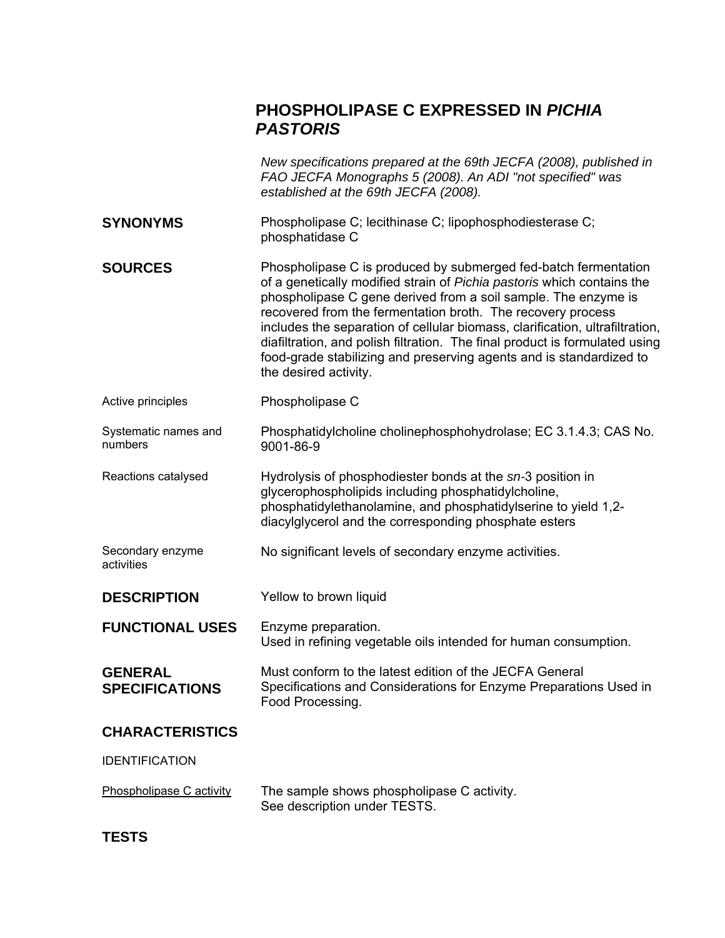# **PHOSPHOLIPASE C EXPRESSED IN** *PICHIA PASTORIS*

|                                         | New specifications prepared at the 69th JECFA (2008), published in<br>FAO JECFA Monographs 5 (2008). An ADI "not specified" was<br>established at the 69th JECFA (2008).                                                                                                                                                                                                                                                                                                                                                                  |
|-----------------------------------------|-------------------------------------------------------------------------------------------------------------------------------------------------------------------------------------------------------------------------------------------------------------------------------------------------------------------------------------------------------------------------------------------------------------------------------------------------------------------------------------------------------------------------------------------|
| <b>SYNONYMS</b>                         | Phospholipase C; lecithinase C; lipophosphodiesterase C;<br>phosphatidase C                                                                                                                                                                                                                                                                                                                                                                                                                                                               |
| <b>SOURCES</b>                          | Phospholipase C is produced by submerged fed-batch fermentation<br>of a genetically modified strain of Pichia pastoris which contains the<br>phospholipase C gene derived from a soil sample. The enzyme is<br>recovered from the fermentation broth. The recovery process<br>includes the separation of cellular biomass, clarification, ultrafiltration,<br>diafiltration, and polish filtration. The final product is formulated using<br>food-grade stabilizing and preserving agents and is standardized to<br>the desired activity. |
| Active principles                       | Phospholipase C                                                                                                                                                                                                                                                                                                                                                                                                                                                                                                                           |
| Systematic names and<br>numbers         | Phosphatidylcholine cholinephosphohydrolase; EC 3.1.4.3; CAS No.<br>9001-86-9                                                                                                                                                                                                                                                                                                                                                                                                                                                             |
| Reactions catalysed                     | Hydrolysis of phosphodiester bonds at the sn-3 position in<br>glycerophospholipids including phosphatidylcholine,<br>phosphatidylethanolamine, and phosphatidylserine to yield 1,2-<br>diacylglycerol and the corresponding phosphate esters                                                                                                                                                                                                                                                                                              |
| Secondary enzyme<br>activities          | No significant levels of secondary enzyme activities.                                                                                                                                                                                                                                                                                                                                                                                                                                                                                     |
| <b>DESCRIPTION</b>                      | Yellow to brown liquid                                                                                                                                                                                                                                                                                                                                                                                                                                                                                                                    |
| <b>FUNCTIONAL USES</b>                  | Enzyme preparation.<br>Used in refining vegetable oils intended for human consumption.                                                                                                                                                                                                                                                                                                                                                                                                                                                    |
| <b>GENERAL</b><br><b>SPECIFICATIONS</b> | Must conform to the latest edition of the JECFA General<br>Specifications and Considerations for Enzyme Preparations Used in<br>Food Processing.                                                                                                                                                                                                                                                                                                                                                                                          |
| <b>CHARACTERISTICS</b>                  |                                                                                                                                                                                                                                                                                                                                                                                                                                                                                                                                           |
| <b>IDENTIFICATION</b>                   |                                                                                                                                                                                                                                                                                                                                                                                                                                                                                                                                           |
| Phospholipase C activity                | The sample shows phospholipase C activity.<br>See description under TESTS.                                                                                                                                                                                                                                                                                                                                                                                                                                                                |

**TESTS**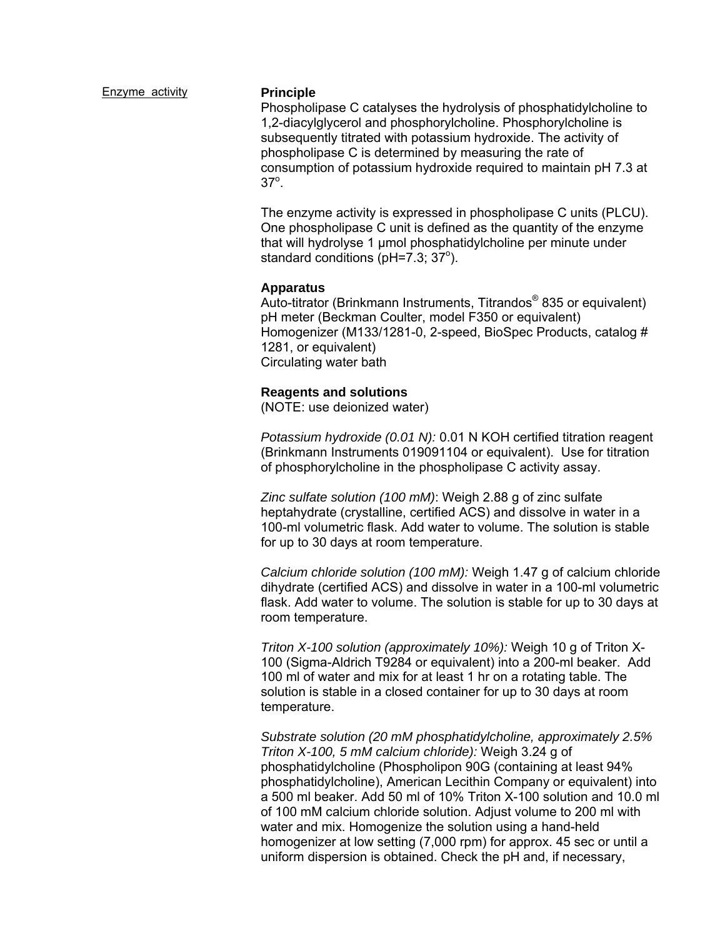#### Enzyme activity **Principle**

Phospholipase C catalyses the hydrolysis of phosphatidylcholine to 1,2-diacylglycerol and phosphorylcholine. Phosphorylcholine is subsequently titrated with potassium hydroxide. The activity of phospholipase C is determined by measuring the rate of consumption of potassium hydroxide required to maintain pH 7.3 at  $37^\circ$ .

The enzyme activity is expressed in phospholipase C units (PLCU). One phospholipase C unit is defined as the quantity of the enzyme that will hydrolyse 1 μmol phosphatidylcholine per minute under standard conditions ( $pH=7.3$ ; 37°).

### **Apparatus**

Auto-titrator (Brinkmann Instruments, Titrandos<sup>®</sup> 835 or equivalent) pH meter (Beckman Coulter, model F350 or equivalent) Homogenizer (M133/1281-0, 2-speed, BioSpec Products, catalog # 1281, or equivalent) Circulating water bath

### **Reagents and solutions**

(NOTE: use deionized water)

*Potassium hydroxide (0.01 N):* 0.01 N KOH certified titration reagent (Brinkmann Instruments 019091104 or equivalent). Use for titration of phosphorylcholine in the phospholipase C activity assay.

*Zinc sulfate solution (100 mM)*: Weigh 2.88 g of zinc sulfate heptahydrate (crystalline, certified ACS) and dissolve in water in a 100-ml volumetric flask. Add water to volume. The solution is stable for up to 30 days at room temperature.

*Calcium chloride solution (100 mM):* Weigh 1.47 g of calcium chloride dihydrate (certified ACS) and dissolve in water in a 100-ml volumetric flask. Add water to volume. The solution is stable for up to 30 days at room temperature.

*Triton X-100 solution (approximately 10%):* Weigh 10 g of Triton X-100 (Sigma-Aldrich T9284 or equivalent) into a 200-ml beaker. Add 100 ml of water and mix for at least 1 hr on a rotating table. The solution is stable in a closed container for up to 30 days at room temperature.

*Substrate solution (20 mM phosphatidylcholine, approximately 2.5% Triton X-100, 5 mM calcium chloride):* Weigh 3.24 g of phosphatidylcholine (Phospholipon 90G (containing at least 94% phosphatidylcholine), American Lecithin Company or equivalent) into a 500 ml beaker. Add 50 ml of 10% Triton X-100 solution and 10.0 ml of 100 mM calcium chloride solution. Adjust volume to 200 ml with water and mix. Homogenize the solution using a hand-held homogenizer at low setting (7,000 rpm) for approx. 45 sec or until a uniform dispersion is obtained. Check the pH and, if necessary,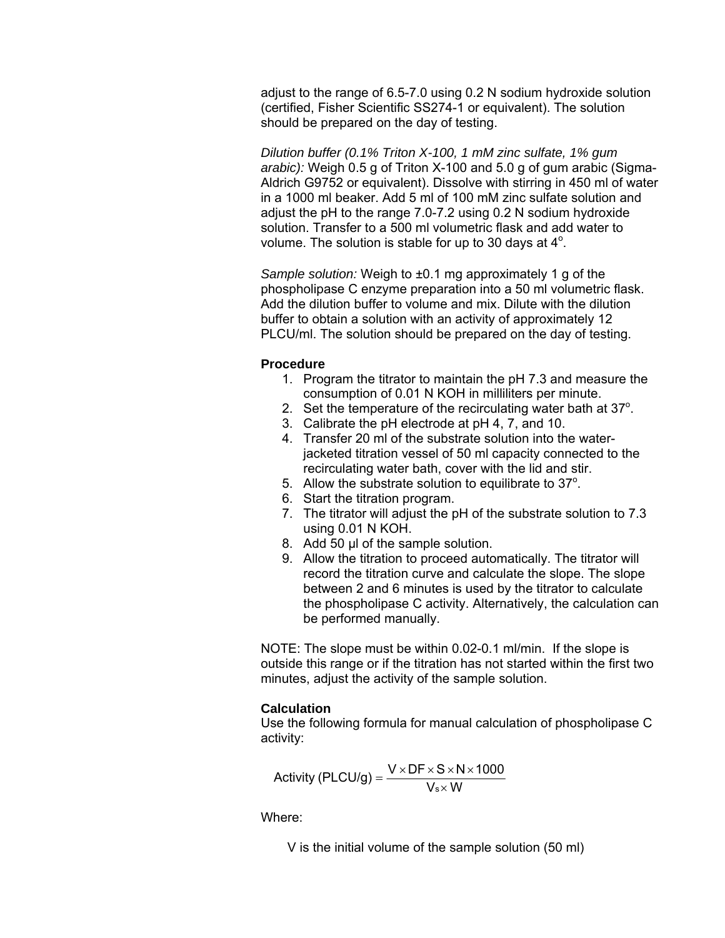adjust to the range of 6.5-7.0 using 0.2 N sodium hydroxide solution (certified, Fisher Scientific SS274-1 or equivalent). The solution should be prepared on the day of testing.

*Dilution buffer (0.1% Triton X-100, 1 mM zinc sulfate, 1% gum arabic):* Weigh 0.5 g of Triton X-100 and 5.0 g of gum arabic (Sigma-Aldrich G9752 or equivalent). Dissolve with stirring in 450 ml of water in a 1000 ml beaker. Add 5 ml of 100 mM zinc sulfate solution and adjust the pH to the range 7.0-7.2 using 0.2 N sodium hydroxide solution. Transfer to a 500 ml volumetric flask and add water to volume. The solution is stable for up to 30 days at  $4^\circ$ .

*Sample solution:* Weigh to ±0.1 mg approximately 1 g of the phospholipase C enzyme preparation into a 50 ml volumetric flask. Add the dilution buffer to volume and mix. Dilute with the dilution buffer to obtain a solution with an activity of approximately 12 PLCU/ml. The solution should be prepared on the day of testing.

### **Procedure**

- 1. Program the titrator to maintain the pH 7.3 and measure the consumption of 0.01 N KOH in milliliters per minute.
- 2. Set the temperature of the recirculating water bath at  $37^\circ$ .
- 3. Calibrate the pH electrode at pH 4, 7, and 10.
- 4. Transfer 20 ml of the substrate solution into the waterjacketed titration vessel of 50 ml capacity connected to the recirculating water bath, cover with the lid and stir.
- 5. Allow the substrate solution to equilibrate to  $37^\circ$ .
- 6. Start the titration program.
- 7. The titrator will adjust the pH of the substrate solution to 7.3 using 0.01 N KOH.
- 8. Add 50 μl of the sample solution.
- 9. Allow the titration to proceed automatically. The titrator will record the titration curve and calculate the slope. The slope between 2 and 6 minutes is used by the titrator to calculate the phospholipase C activity. Alternatively, the calculation can be performed manually.

NOTE: The slope must be within 0.02-0.1 ml/min. If the slope is outside this range or if the titration has not started within the first two minutes, adjust the activity of the sample solution.

## **Calculation**

Use the following formula for manual calculation of phospholipase C activity:

Activity (PLCU/g) = 
$$
\frac{V \times DF \times S \times N \times 1000}{V_{s} \times W}
$$

Where:

V is the initial volume of the sample solution (50 ml)